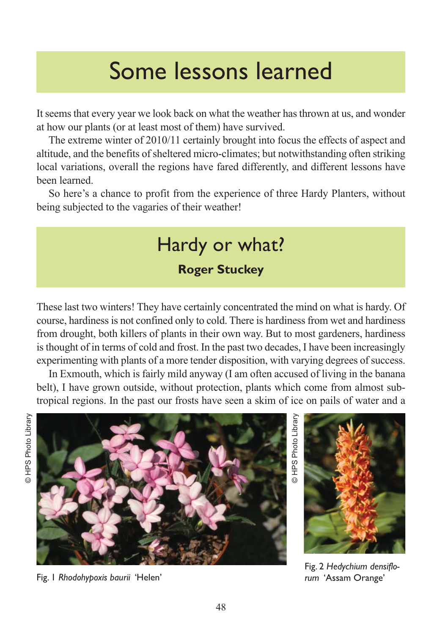# Some lessons learned

It seems that every year we look back on what the weather has thrown at us, and wonder at how our plants (or at least most of them) have survived.

The extreme winter of 2010/11 certainly brought into focus the effects of aspect and altitude, and the benefits of sheltered micro-climates; but notwithstanding often striking local variations, overall the regions have fared differently, and different lessons have been learned.

So here's a chance to profit from the experience of three Hardy Planters, without being subjected to the vagaries of their weather!

## Hardy or what?

#### **Roger Stuckey**

These last two winters! They have certainly concentrated the mind on what is hardy. Of course, hardiness is not confined only to cold. There is hardiness from wet and hardiness from drought, both killers of plants in their own way. But to most gardeners, hardiness is thought of in terms of cold and frost. In the past two decades, I have been increasingly experimenting with plants of a more tender disposition, with varying degrees of success.

In Exmouth, which is fairly mild anyway (I am often accused of living in the banana belt), I have grown outside, without protection, plants which come from almost subtropical regions. In the past our frosts have seen a skim of ice on pails of water and a



Fig. 1 *Rhodohypoxis baurii* 'Helen' *rum* 'Assam Orange'

HPS Photo Library



Fig. 2 *Hedychium densiflo-*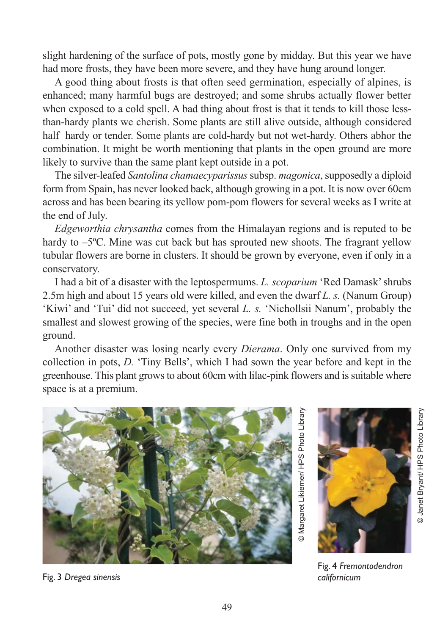slight hardening of the surface of pots, mostly gone by midday. But this year we have had more frosts, they have been more severe, and they have hung around longer.

A good thing about frosts is that often seed germination, especially of alpines, is enhanced; many harmful bugs are destroyed; and some shrubs actually flower better when exposed to a cold spell. A bad thing about frost is that it tends to kill those lessthan-hardy plants we cherish. Some plants are still alive outside, although considered half hardy or tender. Some plants are cold-hardy but not wet-hardy. Others abhor the combination. It might be worth mentioning that plants in the open ground are more likely to survive than the same plant kept outside in a pot.

The silver-leafed *Santolina chamaecyparissus* subsp. *magonica*, supposedly a diploid form from Spain, has never looked back, although growing in a pot. It is now over 60cm across and has been bearing its yellow pom-pom flowers for several weeks as I write at the end of July.

*Edgeworthia chrysantha* comes from the Himalayan regions and is reputed to be hardy to  $-5^{\circ}$ C. Mine was cut back but has sprouted new shoots. The fragrant yellow tubular flowers are borne in clusters. It should be grown by everyone, even if only in a conservatory.

I had a bit of a disaster with the leptospermums. *L. scoparium* 'Red Damask' shrubs 2.5m high and about 15 years old were killed, and even the dwarf *L. s.* (Nanum Group) 'Kiwi' and 'Tui' did not succeed, yet several *L. s.* 'Nichollsii Nanum', probably the smallest and slowest growing of the species, were fine both in troughs and in the open ground.

Another disaster was losing nearly every *Dierama*. Only one survived from my collection in pots, *D.* 'Tiny Bells', which I had sown the year before and kept in the greenhouse. This plant grows to about 60cm with lilac-pink flowers and is suitable where space is at a premium.





Fig. 4 *Fremontodendron*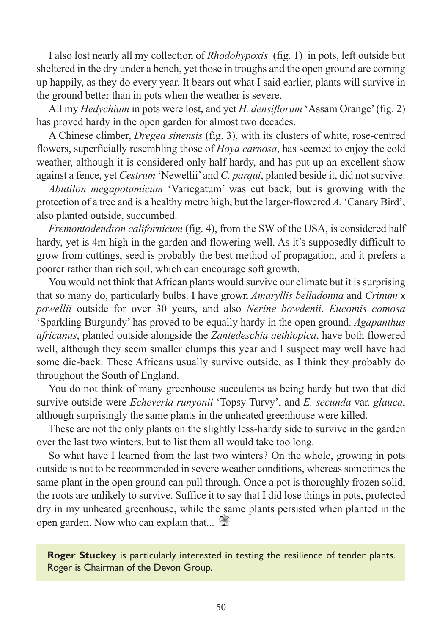I also lost nearly all my collection of *Rhodohypoxis* (fig. 1) in pots, left outside but sheltered in the dry under a bench, yet those in troughs and the open ground are coming up happily, as they do every year. It bears out what I said earlier, plants will survive in the ground better than in pots when the weather is severe.

All my *Hedychium* in pots were lost, and yet *H. densiflorum* 'Assam Orange' (fig. 2) has proved hardy in the open garden for almost two decades.

A Chinese climber, *Dregea sinensis* (fig. 3), with its clusters of white, rose-centred flowers, superficially resembling those of *Hoya carnosa*, has seemed to enjoy the cold weather, although it is considered only half hardy, and has put up an excellent show against a fence, yet *Cestrum* 'Newellii' and *C. parqui*, planted beside it, did not survive.

*Abutilon megapotamicum* 'Variegatum' was cut back, but is growing with the protection of a tree and is a healthy metre high, but the larger-flowered *A.* 'Canary Bird', also planted outside, succumbed.

*Fremontodendron californicum* (fig. 4), from the SW of the USA, is considered half hardy, yet is 4m high in the garden and flowering well. As it's supposedly difficult to grow from cuttings, seed is probably the best method of propagation, and it prefers a poorer rather than rich soil, which can encourage soft growth.

You would not think that African plants would survive our climate but it is surprising that so many do, particularly bulbs. I have grown *Amaryllis belladonna* and *Crinum* x *powellii* outside for over 30 years, and also *Nerine bowdenii*. *Eucomis comosa* 'Sparkling Burgundy' has proved to be equally hardy in the open ground. *Agapanthus africanus*, planted outside alongside the *Zantedeschia aethiopica*, have both flowered well, although they seem smaller clumps this year and I suspect may well have had some die-back. These Africans usually survive outside, as I think they probably do throughout the South of England.

You do not think of many greenhouse succulents as being hardy but two that did survive outside were *Echeveria runyonii* 'Topsy Turvy', and *E. secunda* var. *glauca*, although surprisingly the same plants in the unheated greenhouse were killed.

These are not the only plants on the slightly less-hardy side to survive in the garden over the last two winters, but to list them all would take too long.

So what have I learned from the last two winters? On the whole, growing in pots outside is not to be recommended in severe weather conditions, whereas sometimes the same plant in the open ground can pull through. Once a pot is thoroughly frozen solid, the roots are unlikely to survive. Suffice it to say that I did lose things in pots, protected dry in my unheated greenhouse, while the same plants persisted when planted in the open garden. Now who can explain that...

**Roger Stuckey** is particularly interested in testing the resilience of tender plants. Roger is Chairman of the Devon Group.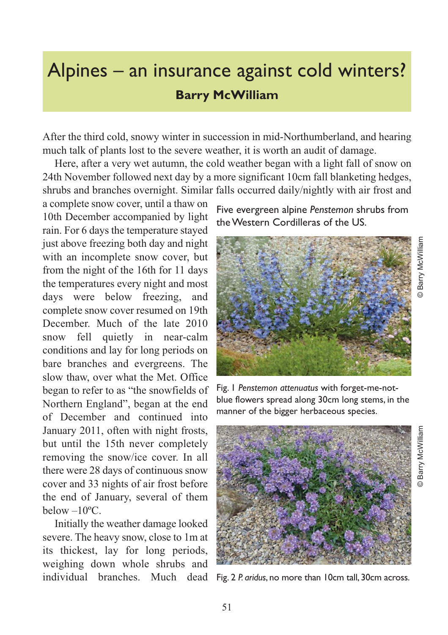### Alpines – an insurance against cold winters? **Barry McWilliam**

After the third cold, snowy winter in succession in mid-Northumberland, and hearing much talk of plants lost to the severe weather, it is worth an audit of damage.

Here, after a very wet autumn, the cold weather began with a light fall of snow on 24th November followed next day by a more significant 10cm fall blanketing hedges, shrubs and branches overnight. Similar falls occurred daily/nightly with air frost and

a complete snow cover, until a thaw on 10th December accompanied by light rain. For 6 days the temperature stayed just above freezing both day and night with an incomplete snow cover, but from the night of the 16th for 11 days the temperatures every night and most days were below freezing, and complete snow cover resumed on 19th December. Much of the late 2010 snow fell quietly in near-calm conditions and lay for long periods on bare branches and evergreens. The slow thaw, over what the Met. Office began to refer to as "the snowfields of Northern England", began at the end of December and continued into January 2011, often with night frosts, but until the 15th never completely removing the snow/ice cover. In all there were 28 days of continuous snow cover and 33 nights of air frost before the end of January, several of them below  $-10^{\circ}$ C.

Initially the weather damage looked severe. The heavy snow, close to 1m at its thickest, lay for long periods, weighing down whole shrubs and individual branches. Much dead

Five evergreen alpine *Penstemon* shrubs from the Western Cordilleras of the US.



Fig. 1 *Penstemon attenuatus* with forget-me-notblue flowers spread along 30cm long stems, in the manner of the bigger herbaceous species.

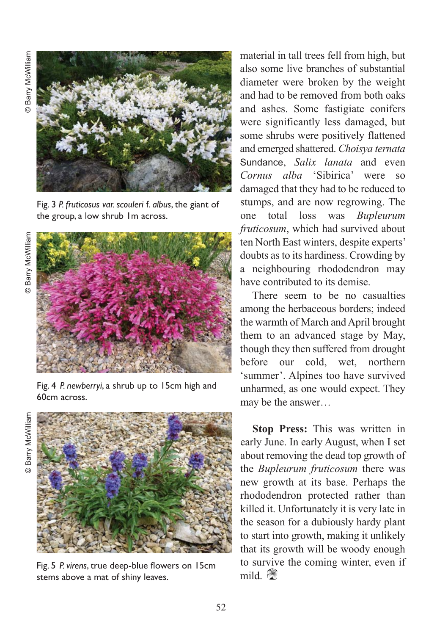**Barry McWilliam** © Barry McWilliam



Fig. 3 *P. fruticosus var. scouleri* f. *albus*, the giant of the group, a low shrub 1m across.



Fig. 4 *P. newberryi*, a shrub up to 15cm high and 60cm across.

**Barry McWilliam** © Barry McWilliam



Fig. 5 *P. virens*, true deep-blue flowers on 15cm stems above a mat of shiny leaves.

material in tall trees fell from high, but also some live branches of substantial diameter were broken by the weight and had to be removed from both oaks and ashes. Some fastigiate conifers were significantly less damaged, but some shrubs were positively flattened and emerged shattered. *Choisya ternata* Sundance, *Salix lanata* and even *Cornus alba* 'Sibirica' were so damaged that they had to be reduced to stumps, and are now regrowing. The one total loss was *Bupleurum fruticosum*, which had survived about ten North East winters, despite experts' doubts as to its hardiness. Crowding by a neighbouring rhododendron may have contributed to its demise.

There seem to be no casualties among the herbaceous borders; indeed the warmth of March and April brought them to an advanced stage by May, though they then suffered from drought before our cold, wet, northern 'summer'. Alpines too have survived unharmed, as one would expect. They may be the answer…

**Stop Press:** This was written in early June. In early August, when I set about removing the dead top growth of the *Bupleurum fruticosum* there was new growth at its base. Perhaps the rhododendron protected rather than killed it. Unfortunately it is very late in the season for a dubiously hardy plant to start into growth, making it unlikely that its growth will be woody enough to survive the coming winter, even if mild.  $\mathbb{R}$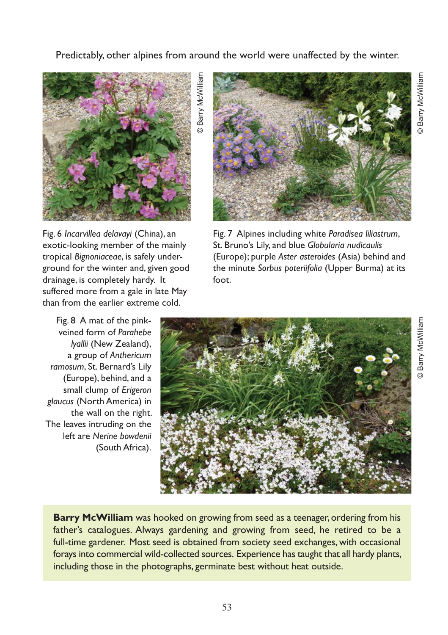Predictably, other alpines from around the world were unaffected by the winter.



© Barry McWilliam **Barry McWilliar** 



Fig. 6 *Incarvillea delavayi* (China), an exotic-looking member of the mainly tropical *Bignoniaceae*, is safely underground for the winter and, given good drainage, is completely hardy. It suffered more from a gale in late May than from the earlier extreme cold.

Fig. 8 A mat of the pinkveined form of *Parahebe lyallii* (New Zealand), a group of *Anthericum ramosum*, St. Bernard's Lily (Europe), behind, and a small clump of *Erigeron glaucus* (North America) in the wall on the right. The leaves intruding on the left are *Nerine bowdenii* (South Africa).

Fig. 7 Alpines including white *Paradisea liliastrum*, St. Bruno's Lily, and blue *Globularia nudicaulis* (Europe); purple *Aster asteroides* (Asia) behind and the minute *Sorbus poteriifolia* (Upper Burma) at its foot.



**Barry McWilliam** was hooked on growing from seed as a teenager, ordering from his father's catalogues. Always gardening and growing from seed, he retired to be a full-time gardener. Most seed is obtained from society seed exchanges, with occasional forays into commercial wild-collected sources. Experience has taught that all hardy plants, including those in the photographs, germinate best without heat outside.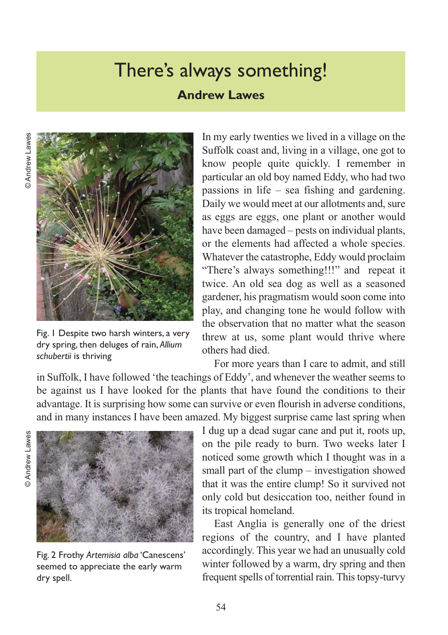### There's always something!

#### **Andrew Lawes**



Fig. 1 Despite two harsh winters, a very dry spring, then deluges of rain, *Allium schubertii* is thriving

In my early twenties we lived in a village on the Suffolk coast and, living in a village, one got to know people quite quickly. I remember in particular an old boy named Eddy, who had two passions in life – sea fishing and gardening. Daily we would meet at our allotments and, sure as eggs are eggs, one plant or another would have been damaged – pests on individual plants, or the elements had affected a whole species. Whatever the catastrophe, Eddy would proclaim "There's always something!!!" and repeat it twice. An old sea dog as well as a seasoned gardener, his pragmatism would soon come into play, and changing tone he would follow with the observation that no matter what the season threw at us, some plant would thrive where others had died.

For more years than I care to admit, and still in Suffolk, I have followed 'the teachings of Eddy', and whenever the weather seems to be against us I have looked for the plants that have found the conditions to their advantage. It is surprising how some can survive or even flourish in adverse conditions, and in many instances I have been amazed. My biggest surprise came last spring when

@Andrew Lawes © Andrew Lawes



Fig. 2 Frothy *Artemisia alba* 'Canescens' seemed to appreciate the early warm dry spell.

I dug up a dead sugar cane and put it, roots up, on the pile ready to burn. Two weeks later I noticed some growth which I thought was in a small part of the clump – investigation showed that it was the entire clump! So it survived not only cold but desiccation too, neither found in its tropical homeland.

East Anglia is generally one of the driest regions of the country, and I have planted accordingly. This year we had an unusually cold winter followed by a warm, dry spring and then frequent spells of torrential rain. This topsy-turvy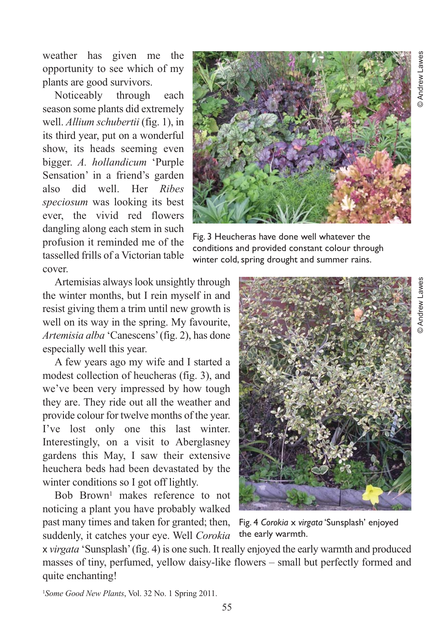weather has given me the opportunity to see which of my plants are good survivors.

Noticeably through each season some plants did extremely well. *Allium schubertii* (fig. 1), in its third year, put on a wonderful show, its heads seeming even bigger. *A. hollandicum* 'Purple Sensation' in a friend's garden also did well. Her *Ribes speciosum* was looking its best ever, the vivid red flowers dangling along each stem in such profusion it reminded me of the tasselled frills of a Victorian table cover.

Artemisias always look unsightly through the winter months, but I rein myself in and resist giving them a trim until new growth is well on its way in the spring. My favourite, *Artemisia alba* 'Canescens' (fig. 2), has done especially well this year.

A few years ago my wife and I started a modest collection of heucheras (fig. 3), and we've been very impressed by how tough they are. They ride out all the weather and provide colour for twelve months of the year. I've lost only one this last winter. Interestingly, on a visit to Aberglasney gardens this May, I saw their extensive heuchera beds had been devastated by the winter conditions so I got off lightly.

Bob Brown<sup>1</sup> makes reference to not noticing a plant you have probably walked past many times and taken for granted; then,

suddenly, it catches your eye. Well *Corokia*



Fig. 3 Heucheras have done well whatever the conditions and provided constant colour through winter cold, spring drought and summer rains.



Fig. 4 *Corokia* x *virgata* 'Sunsplash' enjoyed the early warmth.

x *virgata* 'Sunsplash' (fig. 4) is one such. It really enjoyed the early warmth and produced masses of tiny, perfumed, yellow daisy-like flowers – small but perfectly formed and quite enchanting!

1*Some Good New Plants*, Vol. 32 No. 1 Spring 2011.